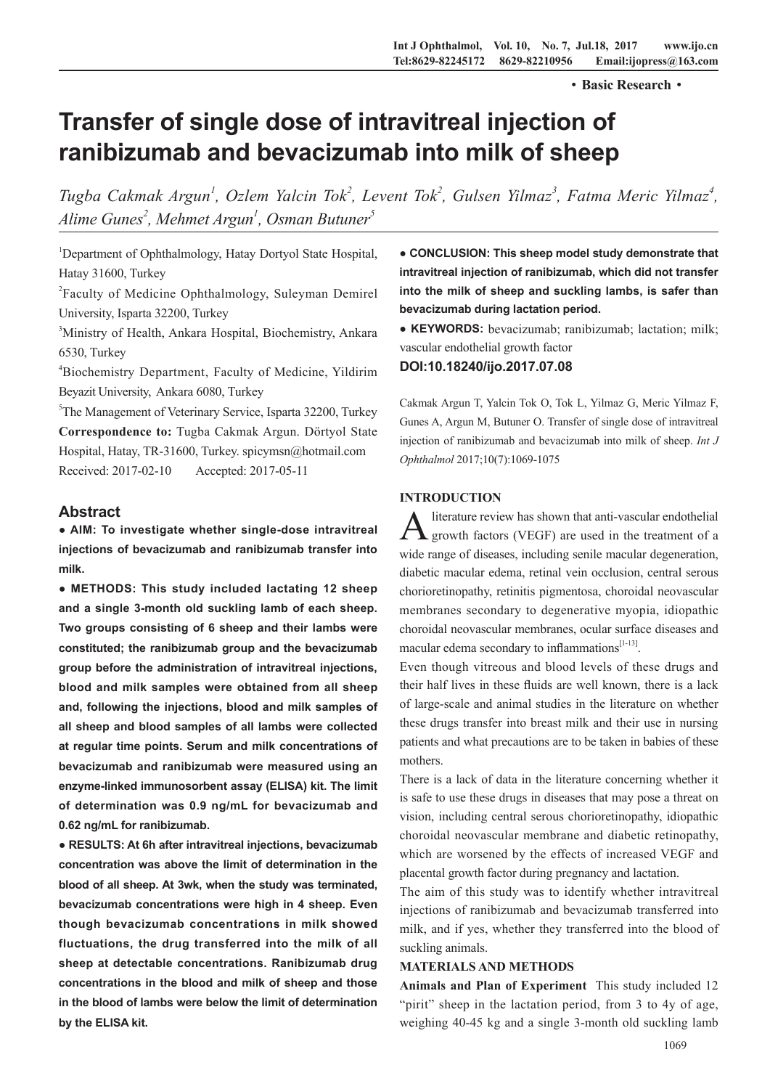·**Basic Research**·

# **Transfer of single dose of intravitreal injection of ranibizumab and bevacizumab into milk of sheep**

*Tugba Cakmak Argun<sup>1</sup>, Ozlem Yalcin Tok<sup>2</sup>, Levent Tok<sup>2</sup>, Gulsen Yilmaz<sup>3</sup>, Fatma Meric Yilmaz<sup>4</sup>, Alime Gunes2 , Mehmet Argun1 , Osman Butuner5*

<sup>1</sup>Department of Ophthalmology, Hatay Dortyol State Hospital, Hatay 31600, Turkey

<sup>2</sup>Faculty of Medicine Ophthalmology, Suleyman Demirel University, Isparta 32200, Turkey

<sup>3</sup>Ministry of Health, Ankara Hospital, Biochemistry, Ankara 6530, Turkey

4 Biochemistry Department, Faculty of Medicine, Yildirim Beyazit University, Ankara 6080, Turkey

<sup>5</sup>The Management of Veterinary Service, Isparta 32200, Turkey **Correspondence to:** Tugba Cakmak Argun. Dörtyol State Hospital, Hatay, TR-31600, Turkey. spicymsn@hotmail.com Received: 2017-02-10 Accepted: 2017-05-11

## **Abstract**

**● AIM: To investigate whether single-dose intravitreal injections of bevacizumab and ranibizumab transfer into milk.** 

**● METHODS: This study included lactating 12 sheep and a single 3-month old suckling lamb of each sheep. Two groups consisting of 6 sheep and their lambs were constituted; the ranibizumab group and the bevacizumab group before the administration of intravitreal injections, blood and milk samples were obtained from all sheep and, following the injections, blood and milk samples of all sheep and blood samples of all lambs were collected at regular time points. Serum and milk concentrations of bevacizumab and ranibizumab were measured using an enzyme-linked immunosorbent assay (ELISA) kit. The limit of determination was 0.9 ng/mL for bevacizumab and 0.62 ng/mL for ranibizumab.**

**● RESULTS: At 6h after intravitreal injections, bevacizumab concentration was above the limit of determination in the blood of all sheep. At 3wk, when the study was terminated, bevacizumab concentrations were high in 4 sheep. Even though bevacizumab concentrations in milk showed fluctuations, the drug transferred into the milk of all sheep at detectable concentrations. Ranibizumab drug concentrations in the blood and milk of sheep and those in the blood of lambs were below the limit of determination by the ELISA kit.** 

**● CONCLUSION: This sheep model study demonstrate that intravitreal injection of ranibizumab, which did not transfer into the milk of sheep and suckling lambs, is safer than bevacizumab during lactation period.** 

**● KEYWORDS:** bevacizumab; ranibizumab; lactation; milk; vascular endothelial growth factor

## **DOI:10.18240/ijo.2017.07.08**

Cakmak Argun T, Yalcin Tok O, Tok L, Yilmaz G, Meric Yilmaz F, Gunes A, Argun M, Butuner O. Transfer of single dose of intravitreal injection of ranibizumab and bevacizumab into milk of sheep. *Int J Ophthalmol* 2017;10(7):1069-1075

## **INTRODUCTION**

literature review has shown that anti-vascular endothelial growth factors (VEGF) are used in the treatment of a wide range of diseases, including senile macular degeneration, diabetic macular edema, retinal vein occlusion, central serous chorioretinopathy, retinitis pigmentosa, choroidal neovascular membranes secondary to degenerative myopia, idiopathic choroidal neovascular membranes, ocular surface diseases and macular edema secondary to inflammations $[1-13]$ .

Even though vitreous and blood levels of these drugs and their half lives in these fluids are well known, there is a lack of large-scale and animal studies in the literature on whether these drugs transfer into breast milk and their use in nursing patients and what precautions are to be taken in babies of these mothers.

There is a lack of data in the literature concerning whether it is safe to use these drugs in diseases that may pose a threat on vision, including central serous chorioretinopathy, idiopathic choroidal neovascular membrane and diabetic retinopathy, which are worsened by the effects of increased VEGF and placental growth factor during pregnancy and lactation.

The aim of this study was to identify whether intravitreal injections of ranibizumab and bevacizumab transferred into milk, and if yes, whether they transferred into the blood of suckling animals.

## **MATERIALS AND METHODS**

**Animals and Plan of Experiment** This study included 12 "pirit" sheep in the lactation period, from 3 to 4y of age, weighing 40-45 kg and a single 3-month old suckling lamb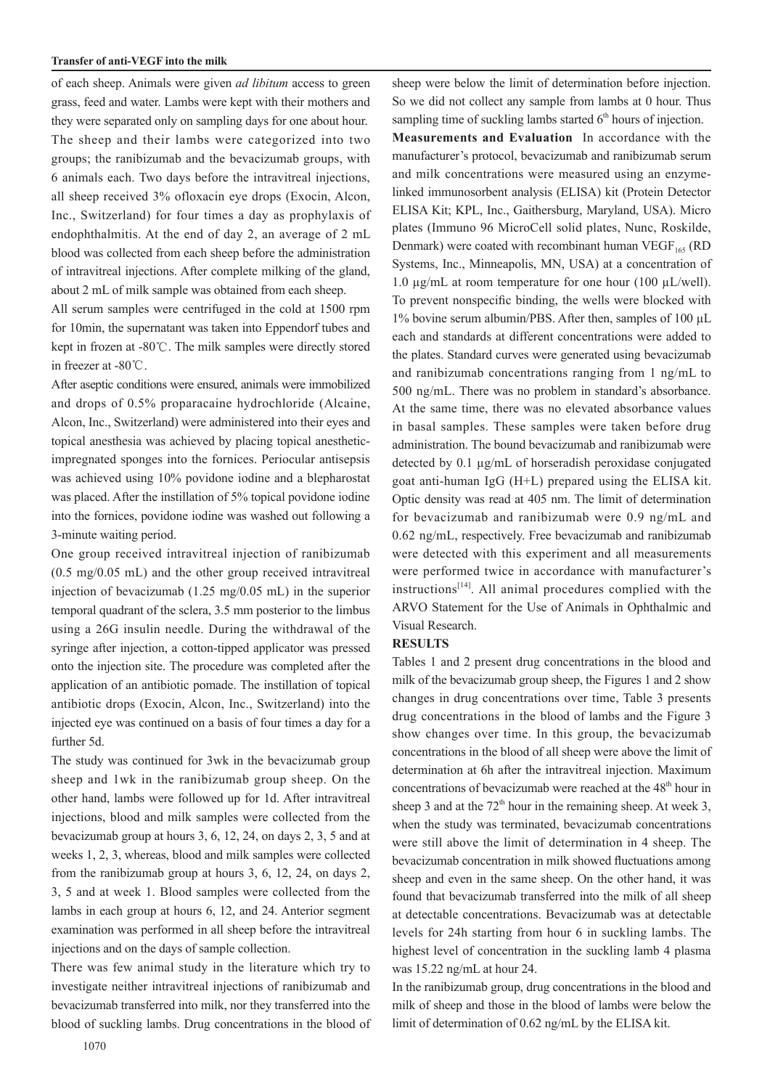#### **Transfer of anti-VEGF into the milk**

of each sheep. Animals were given *ad libitum* access to green grass, feed and water. Lambs were kept with their mothers and they were separated only on sampling days for one about hour. The sheep and their lambs were categorized into two groups; the ranibizumab and the bevacizumab groups, with 6 animals each. Two days before the intravitreal injections, all sheep received 3% ofloxacin eye drops (Exocin, Alcon, Inc., Switzerland) for four times a day as prophylaxis of endophthalmitis. At the end of day 2, an average of 2 mL blood was collected from each sheep before the administration of intravitreal injections. After complete milking of the gland, about 2 mL of milk sample was obtained from each sheep.

All serum samples were centrifuged in the cold at 1500 rpm for 10min, the supernatant was taken into Eppendorf tubes and kept in frozen at -80℃. The milk samples were directly stored in freezer at -80℃.

After aseptic conditions were ensured, animals were immobilized and drops of 0.5% proparacaine hydrochloride (Alcaine, Alcon, Inc., Switzerland) were administered into their eyes and topical anesthesia was achieved by placing topical anestheticimpregnated sponges into the fornices. Periocular antisepsis was achieved using 10% povidone iodine and a blepharostat was placed. After the instillation of 5% topical povidone iodine into the fornices, povidone iodine was washed out following a 3-minute waiting period.

One group received intravitreal injection of ranibizumab (0.5 mg/0.05 mL) and the other group received intravitreal injection of bevacizumab (1.25 mg/0.05 mL) in the superior temporal quadrant of the sclera, 3.5 mm posterior to the limbus using a 26G insulin needle. During the withdrawal of the syringe after injection, a cotton-tipped applicator was pressed onto the injection site. The procedure was completed after the application of an antibiotic pomade. The instillation of topical antibiotic drops (Exocin, Alcon, Inc., Switzerland) into the injected eye was continued on a basis of four times a day for a further 5d.

The study was continued for 3wk in the bevacizumab group sheep and 1wk in the ranibizumab group sheep. On the other hand, lambs were followed up for 1d. After intravitreal injections, blood and milk samples were collected from the bevacizumab group at hours 3, 6, 12, 24, on days 2, 3, 5 and at weeks 1, 2, 3, whereas, blood and milk samples were collected from the ranibizumab group at hours 3, 6, 12, 24, on days 2, 3, 5 and at week 1. Blood samples were collected from the lambs in each group at hours 6, 12, and 24. Anterior segment examination was performed in all sheep before the intravitreal injections and on the days of sample collection.

There was few animal study in the literature which try to investigate neither intravitreal injections of ranibizumab and bevacizumab transferred into milk, nor they transferred into the blood of suckling lambs. Drug concentrations in the blood of

sheep were below the limit of determination before injection. So we did not collect any sample from lambs at 0 hour. Thus sampling time of suckling lambs started  $6<sup>th</sup>$  hours of injection. **Measurements and Evaluation** In accordance with the manufacturer's protocol, bevacizumab and ranibizumab serum and milk concentrations were measured using an enzymelinked immunosorbent analysis (ELISA) kit (Protein Detector ELISA Kit; KPL, Inc., Gaithersburg, Maryland, USA). Micro plates (Immuno 96 MicroCell solid plates, Nunc, Roskilde, Denmark) were coated with recombinant human  $VEGF<sub>165</sub>$  (RD Systems, Inc., Minneapolis, MN, USA) at a concentration of 1.0  $\mu$ g/mL at room temperature for one hour (100  $\mu$ L/well). To prevent nonspecific binding, the wells were blocked with 1% bovine serum albumin/PBS. After then, samples of 100 µL each and standards at different concentrations were added to the plates. Standard curves were generated using bevacizumab and ranibizumab concentrations ranging from 1 ng/mL to 500 ng/mL. There was no problem in standard's absorbance. At the same time, there was no elevated absorbance values in basal samples. These samples were taken before drug administration. The bound bevacizumab and ranibizumab were detected by 0.1 µg/mL of horseradish peroxidase conjugated goat anti-human IgG (H+L) prepared using the ELISA kit. Optic density was read at 405 nm. The limit of determination for bevacizumab and ranibizumab were 0.9 ng/mL and 0.62 ng/mL, respectively. Free bevacizumab and ranibizumab were detected with this experiment and all measurements were performed twice in accordance with manufacturer's instructions<sup>[14]</sup>. All animal procedures complied with the ARVO Statement for the Use of Animals in Ophthalmic and Visual Research.

### **RESULTS**

Tables 1 and 2 present drug concentrations in the blood and milk of the bevacizumab group sheep, the Figures 1 and 2 show changes in drug concentrations over time, Table 3 presents drug concentrations in the blood of lambs and the Figure 3 show changes over time. In this group, the bevacizumab concentrations in the blood of all sheep were above the limit of determination at 6h after the intravitreal injection. Maximum concentrations of bevacizumab were reached at the 48<sup>th</sup> hour in sheep 3 and at the  $72<sup>th</sup>$  hour in the remaining sheep. At week 3, when the study was terminated, bevacizumab concentrations were still above the limit of determination in 4 sheep. The bevacizumab concentration in milk showed fluctuations among sheep and even in the same sheep. On the other hand, it was found that bevacizumab transferred into the milk of all sheep at detectable concentrations. Bevacizumab was at detectable levels for 24h starting from hour 6 in suckling lambs. The highest level of concentration in the suckling lamb 4 plasma was 15.22 ng/mL at hour 24.

In the ranibizumab group, drug concentrations in the blood and milk of sheep and those in the blood of lambs were below the limit of determination of 0.62 ng/mL by the ELISA kit.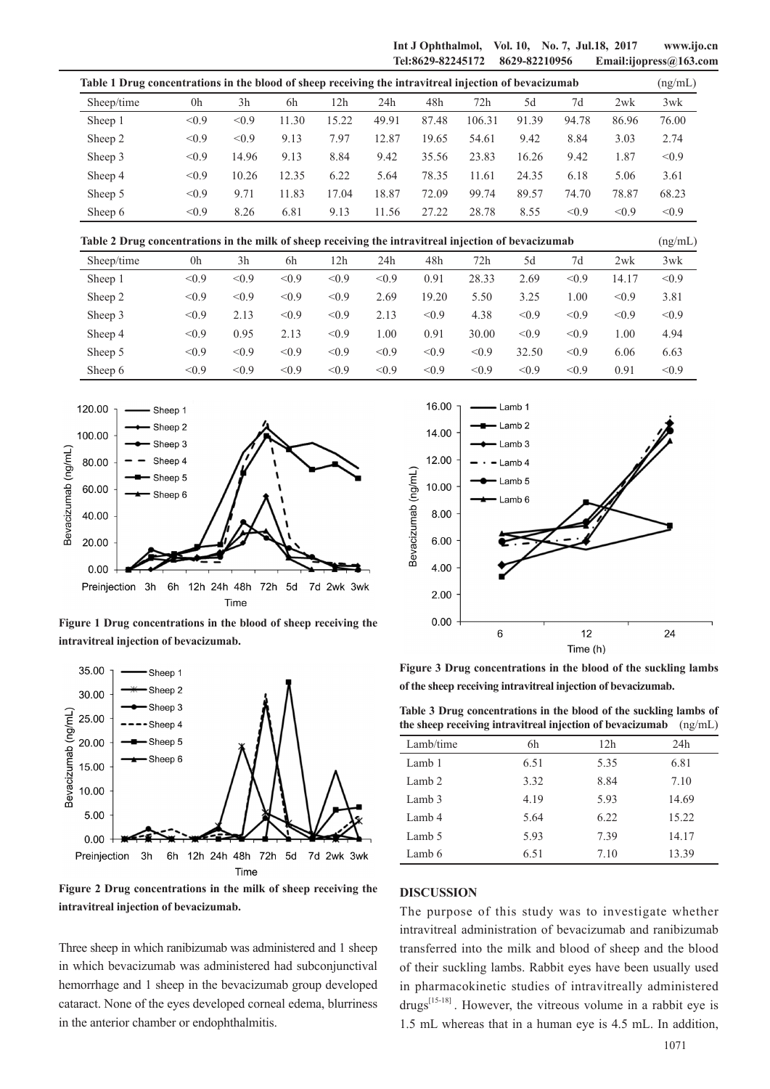**Int J Ophthalmol, Vol. 10, No. 7, Jul.18, 2017 www.ijo.cn Tel:8629-82245172 8629-82210956 Email:ijopress@163.com**

| Table 1 Drug concentrations in the blood of sheep receiving the intravitreal injection of bevacizumab |       |                |       |       |       |       | (ng/mL) |       |       |       |       |
|-------------------------------------------------------------------------------------------------------|-------|----------------|-------|-------|-------|-------|---------|-------|-------|-------|-------|
| Sheep/time                                                                                            | 0h    | 3 <sub>h</sub> | 6h    | 12h   | 24h   | 48h   | 72h     | 5d    | 7d    | 2wk   | 3wk   |
| Sheep 1                                                                                               | < 0.9 | < 0.9          | 11.30 | 15.22 | 49.91 | 87.48 | 106.31  | 91.39 | 94.78 | 86.96 | 76.00 |
| Sheep 2                                                                                               | < 0.9 | < 0.9          | 9.13  | 7.97  | 12.87 | 19.65 | 54.61   | 9.42  | 8.84  | 3.03  | 2.74  |
| Sheep 3                                                                                               | < 0.9 | 14.96          | 9.13  | 8.84  | 9.42  | 35.56 | 23.83   | 16.26 | 9.42  | 1.87  | < 0.9 |
| Sheep 4                                                                                               | < 0.9 | 10.26          | 12.35 | 6.22  | 5.64  | 78.35 | 11.61   | 24.35 | 6.18  | 5.06  | 3.61  |
| Sheep 5                                                                                               | < 0.9 | 9.71           | 11.83 | 17.04 | 18.87 | 72.09 | 99.74   | 89.57 | 74.70 | 78.87 | 68.23 |
| Sheep 6                                                                                               | < 0.9 | 8.26           | 6.81  | 9.13  | 11.56 | 27.22 | 28.78   | 8.55  | < 0.9 | < 0.9 | < 0.9 |

**Table 2 Drug concentrations in the milk of sheep receiving the intravitreal injection of bevacizumab** (ng/mL)

| Sheep/time | 0h    | 3h    | 6h    | 12h   | 24h   | 48h   | 72h   | 5d    | 7d    | 2wk   | 3wk   |
|------------|-------|-------|-------|-------|-------|-------|-------|-------|-------|-------|-------|
| Sheep 1    | < 0.9 | < 0.9 | < 0.9 | < 0.9 | < 0.9 | 0.91  | 28.33 | 2.69  | < 0.9 | 14.17 | < 0.9 |
| Sheep 2    | < 0.9 | < 0.9 | < 0.9 | < 0.9 | 2.69  | 19.20 | 5.50  | 3.25  | .00   | < 0.9 | 3.81  |
| Sheep 3    | < 0.9 | 2.13  | < 0.9 | < 0.9 | 2.13  | < 0.9 | 4.38  | < 0.9 | < 0.9 | < 0.9 | < 0.9 |
| Sheep 4    | < 0.9 | 0.95  | 2.13  | < 0.9 | 1.00  | 0.91  | 30.00 | < 0.9 | < 0.9 | 1.00  | 4.94  |
| Sheep 5    | < 0.9 | < 0.9 | < 0.9 | < 0.9 | < 0.9 | < 0.9 | < 0.9 | 32.50 | < 0.9 | 6.06  | 6.63  |
| Sheep 6    | < 0.9 | < 0.9 | < 0.9 | < 0.9 | < 0.9 | < 0.9 | < 0.9 | < 0.9 | < 0.9 | 0.91  | < 0.9 |



**Figure 1 Drug concentrations in the blood of sheep receiving the intravitreal injection of bevacizumab.**



**Figure 2 Drug concentrations in the milk of sheep receiving the intravitreal injection of bevacizumab.**

Three sheep in which ranibizumab was administered and 1 sheep in which bevacizumab was administered had subconjunctival hemorrhage and 1 sheep in the bevacizumab group developed cataract. None of the eyes developed corneal edema, blurriness in the anterior chamber or endophthalmitis.



**Figure 3 Drug concentrations in the blood of the suckling lambs of the sheep receiving intravitreal injection of bevacizumab.**

| Table 3 Drug concentrations in the blood of the suckling lambs of         |  |
|---------------------------------------------------------------------------|--|
| the sheep receiving intravitreal injection of bevacizumab $\frac{mg}{mL}$ |  |

| Lamb/time | 6h   | 12h  | 24h   |
|-----------|------|------|-------|
| Lamb 1    | 6.51 | 5.35 | 6.81  |
| Lamb 2    | 3.32 | 8.84 | 7.10  |
| Lamb 3    | 4.19 | 5.93 | 14.69 |
| Lamb 4    | 5.64 | 6.22 | 15.22 |
| Lamb 5    | 5.93 | 7.39 | 14.17 |
| Lamb 6    | 6.51 | 7.10 | 13.39 |

#### **DISCUSSION**

The purpose of this study was to investigate whether intravitreal administration of bevacizumab and ranibizumab transferred into the milk and blood of sheep and the blood of their suckling lambs. Rabbit eyes have been usually used in pharmacokinetic studies of intravitreally administered  $drugs^{[15-18]}$ . However, the vitreous volume in a rabbit eye is 1.5 mL whereas that in a human eye is 4.5 mL. In addition,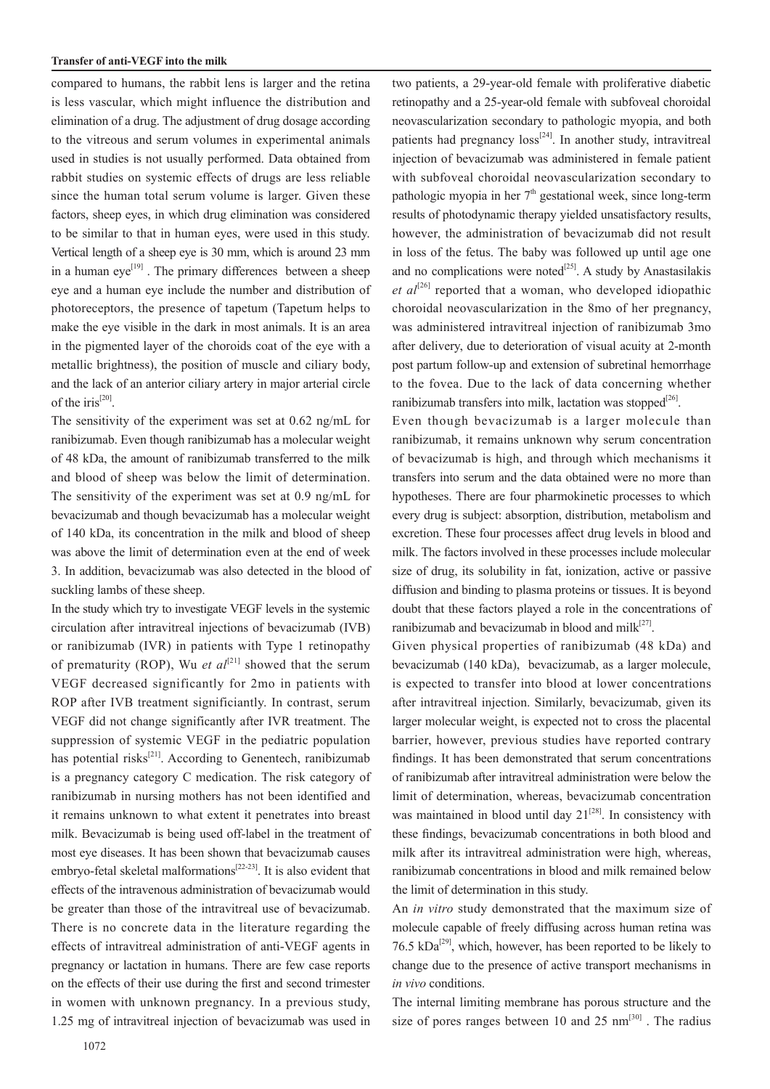#### **Transfer of anti-VEGF into the milk**

compared to humans, the rabbit lens is larger and the retina is less vascular, which might influence the distribution and elimination of a drug. The adjustment of drug dosage according to the vitreous and serum volumes in experimental animals used in studies is not usually performed. Data obtained from rabbit studies on systemic effects of drugs are less reliable since the human total serum volume is larger. Given these factors, sheep eyes, in which drug elimination was considered to be similar to that in human eyes, were used in this study. Vertical length of a sheep eye is 30 mm, which is around 23 mm in a human  $eye^{[19]}$ . The primary differences between a sheep eye and a human eye include the number and distribution of photoreceptors, the presence of tapetum (Tapetum helps to make the eye visible in the dark in most animals. It is an area in the pigmented layer of the choroids coat of the eye with a metallic brightness), the position of muscle and ciliary body, and the lack of an anterior ciliary artery in major arterial circle of the iris<sup>[20]</sup>.

The sensitivity of the experiment was set at 0.62 ng/mL for ranibizumab. Even though ranibizumab has a molecular weight of 48 kDa, the amount of ranibizumab transferred to the milk and blood of sheep was below the limit of determination. The sensitivity of the experiment was set at 0.9 ng/mL for bevacizumab and though bevacizumab has a molecular weight of 140 kDa, its concentration in the milk and blood of sheep was above the limit of determination even at the end of week 3. In addition, bevacizumab was also detected in the blood of suckling lambs of these sheep.

In the study which try to investigate VEGF levels in the systemic circulation after intravitreal injections of bevacizumab (IVB) or ranibizumab (IVR) in patients with Type 1 retinopathy of prematurity (ROP), Wu *et al*<sup>[21]</sup> showed that the serum VEGF decreased significantly for 2mo in patients with ROP after IVB treatment significiantly. In contrast, serum VEGF did not change significantly after IVR treatment. The suppression of systemic VEGF in the pediatric population has potential risks<sup>[21]</sup>. According to Genentech, ranibizumab is a pregnancy category C medication. The risk category of ranibizumab in nursing mothers has not been identified and it remains unknown to what extent it penetrates into breast milk. Bevacizumab is being used off-label in the treatment of most eye diseases. It has been shown that bevacizumab causes embryo-fetal skeletal malformations<sup>[22-23]</sup>. It is also evident that effects of the intravenous administration of bevacizumab would be greater than those of the intravitreal use of bevacizumab. There is no concrete data in the literature regarding the effects of intravitreal administration of anti-VEGF agents in pregnancy or lactation in humans. There are few case reports on the effects of their use during the first and second trimester in women with unknown pregnancy. In a previous study, 1.25 mg of intravitreal injection of bevacizumab was used in

two patients, a 29-year-old female with proliferative diabetic retinopathy and a 25-year-old female with subfoveal choroidal neovascularization secondary to pathologic myopia, and both patients had pregnancy  $loss^{[24]}$ . In another study, intravitreal injection of bevacizumab was administered in female patient with subfoveal choroidal neovascularization secondary to pathologic myopia in her  $7<sup>th</sup>$  gestational week, since long-term results of photodynamic therapy yielded unsatisfactory results, however, the administration of bevacizumab did not result in loss of the fetus. The baby was followed up until age one and no complications were noted $[25]$ . A study by Anastasilakis *et al*<sup>[26]</sup> reported that a woman, who developed idiopathic choroidal neovascularization in the 8mo of her pregnancy, was administered intravitreal injection of ranibizumab 3mo after delivery, due to deterioration of visual acuity at 2-month post partum follow-up and extension of subretinal hemorrhage to the fovea. Due to the lack of data concerning whether ranibizumab transfers into milk, lactation was stopped<sup>[26]</sup>.

Even though bevacizumab is a larger molecule than ranibizumab, it remains unknown why serum concentration of bevacizumab is high, and through which mechanisms it transfers into serum and the data obtained were no more than hypotheses. There are four pharmokinetic processes to which every drug is subject: absorption, distribution, metabolism and excretion. These four processes affect drug levels in blood and milk. The factors involved in these processes include molecular size of drug, its solubility in fat, ionization, active or passive diffusion and binding to plasma proteins or tissues. It is beyond doubt that these factors played a role in the concentrations of ranibizumab and bevacizumab in blood and mil $k^{[27]}$ .

Given physical properties of ranibizumab (48 kDa) and bevacizumab (140 kDa), bevacizumab, as a larger molecule, is expected to transfer into blood at lower concentrations after intravitreal injection. Similarly, bevacizumab, given its larger molecular weight, is expected not to cross the placental barrier, however, previous studies have reported contrary findings. It has been demonstrated that serum concentrations of ranibizumab after intravitreal administration were below the limit of determination, whereas, bevacizumab concentration was maintained in blood until day  $21^{[28]}$ . In consistency with these findings, bevacizumab concentrations in both blood and milk after its intravitreal administration were high, whereas, ranibizumab concentrations in blood and milk remained below the limit of determination in this study.

An *in vitro* study demonstrated that the maximum size of molecule capable of freely diffusing across human retina was 76.5 kDa<sup>[29]</sup>, which, however, has been reported to be likely to change due to the presence of active transport mechanisms in *in vivo* conditions.

The internal limiting membrane has porous structure and the size of pores ranges between 10 and 25  $nm^{[30]}$ . The radius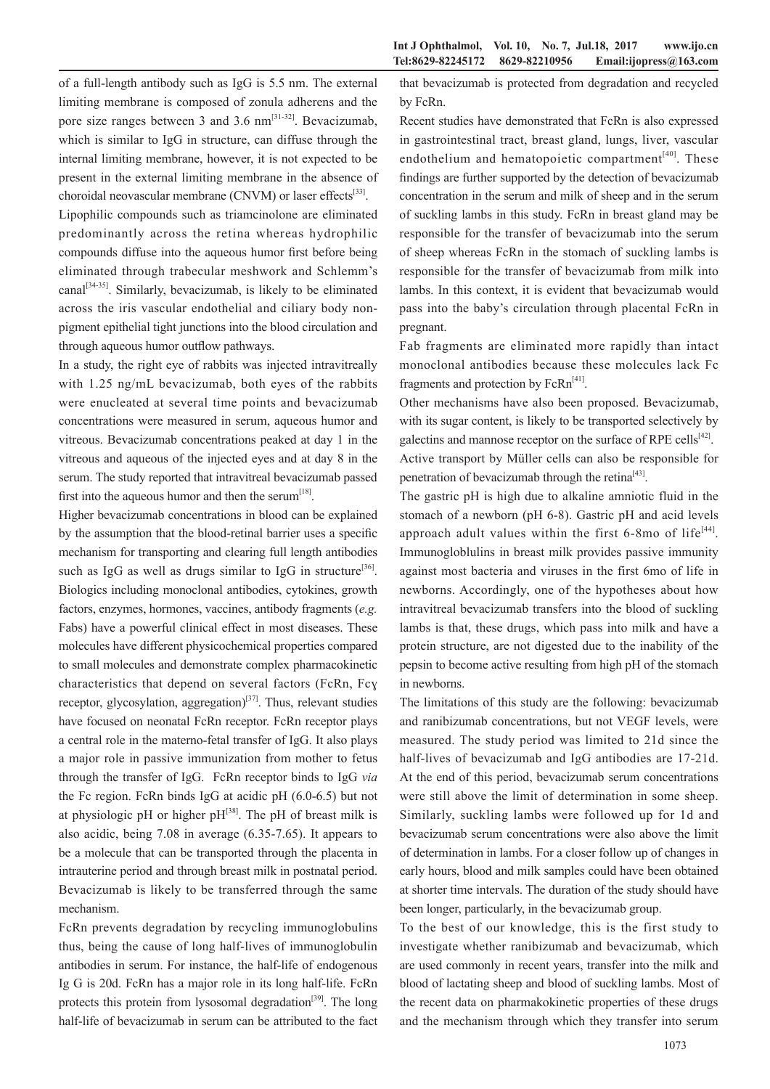of a full-length antibody such as IgG is 5.5 nm. The external limiting membrane is composed of zonula adherens and the pore size ranges between 3 and 3.6 nm<sup>[31-32]</sup>. Bevacizumab, which is similar to IgG in structure, can diffuse through the internal limiting membrane, however, it is not expected to be present in the external limiting membrane in the absence of choroidal neovascular membrane (CNVM) or laser effects<sup>[33]</sup>.

Lipophilic compounds such as triamcinolone are eliminated predominantly across the retina whereas hydrophilic compounds diffuse into the aqueous humor first before being eliminated through trabecular meshwork and Schlemm's canal<sup>[34-35]</sup>. Similarly, bevacizumab, is likely to be eliminated across the iris vascular endothelial and ciliary body nonpigment epithelial tight junctions into the blood circulation and through aqueous humor outflow pathways.

In a study, the right eye of rabbits was injected intravitreally with 1.25 ng/mL bevacizumab, both eyes of the rabbits were enucleated at several time points and bevacizumab concentrations were measured in serum, aqueous humor and vitreous. Bevacizumab concentrations peaked at day 1 in the vitreous and aqueous of the injected eyes and at day 8 in the serum. The study reported that intravitreal bevacizumab passed first into the aqueous humor and then the serum $^{[18]}$ .

Higher bevacizumab concentrations in blood can be explained by the assumption that the blood-retinal barrier uses a specific mechanism for transporting and clearing full length antibodies such as IgG as well as drugs similar to IgG in structure<sup>[36]</sup>. Biologics including monoclonal antibodies, cytokines, growth factors, enzymes, hormones, vaccines, antibody fragments (*e.g.* Fabs) have a powerful clinical effect in most diseases. These molecules have different physicochemical properties compared to small molecules and demonstrate complex pharmacokinetic characteristics that depend on several factors (FcRn, Fcɣ receptor, glycosylation, aggregation) $[37]$ . Thus, relevant studies have focused on neonatal FcRn receptor. FcRn receptor plays a central role in the materno-fetal transfer of IgG. It also plays a major role in passive immunization from mother to fetus through the transfer of IgG. FcRn receptor binds to IgG *via*  the Fc region. FcRn binds IgG at acidic pH (6.0-6.5) but not at physiologic pH or higher  $pH^{[38]}$ . The pH of breast milk is also acidic, being 7.08 in average (6.35-7.65). It appears to be a molecule that can be transported through the placenta in intrauterine period and through breast milk in postnatal period. Bevacizumab is likely to be transferred through the same mechanism.

FcRn prevents degradation by recycling immunoglobulins thus, being the cause of long half-lives of immunoglobulin antibodies in serum. For instance, the half-life of endogenous Ig G is 20d. FcRn has a major role in its long half-life. FcRn protects this protein from lysosomal degradation<sup>[39]</sup>. The long half-life of bevacizumab in serum can be attributed to the fact

that bevacizumab is protected from degradation and recycled by FcRn.

Recent studies have demonstrated that FcRn is also expressed in gastrointestinal tract, breast gland, lungs, liver, vascular endothelium and hematopoietic compartment $[40]$ . These findings are further supported by the detection of bevacizumab concentration in the serum and milk of sheep and in the serum of suckling lambs in this study. FcRn in breast gland may be responsible for the transfer of bevacizumab into the serum of sheep whereas FcRn in the stomach of suckling lambs is responsible for the transfer of bevacizumab from milk into lambs. In this context, it is evident that bevacizumab would pass into the baby's circulation through placental FcRn in pregnant.

Fab fragments are eliminated more rapidly than intact monoclonal antibodies because these molecules lack Fc fragments and protection by  $FcRn^{[41]}$ .

Other mechanisms have also been proposed. Bevacizumab, with its sugar content, is likely to be transported selectively by galectins and mannose receptor on the surface of RPE cells<sup>[42]</sup>. Active transport by Müller cells can also be responsible for

penetration of bevacizumab through the retina<sup>[43]</sup>.

The gastric pH is high due to alkaline amniotic fluid in the stomach of a newborn (pH 6-8). Gastric pH and acid levels approach adult values within the first  $6-8$ mo of life<sup>[44]</sup>. Immunogloblulins in breast milk provides passive immunity against most bacteria and viruses in the first 6mo of life in newborns. Accordingly, one of the hypotheses about how intravitreal bevacizumab transfers into the blood of suckling lambs is that, these drugs, which pass into milk and have a protein structure, are not digested due to the inability of the pepsin to become active resulting from high pH of the stomach in newborns.

The limitations of this study are the following: bevacizumab and ranibizumab concentrations, but not VEGF levels, were measured. The study period was limited to 21d since the half-lives of bevacizumab and IgG antibodies are 17-21d. At the end of this period, bevacizumab serum concentrations were still above the limit of determination in some sheep. Similarly, suckling lambs were followed up for 1d and bevacizumab serum concentrations were also above the limit of determination in lambs. For a closer follow up of changes in early hours, blood and milk samples could have been obtained at shorter time intervals. The duration of the study should have been longer, particularly, in the bevacizumab group.

To the best of our knowledge, this is the first study to investigate whether ranibizumab and bevacizumab, which are used commonly in recent years, transfer into the milk and blood of lactating sheep and blood of suckling lambs. Most of the recent data on pharmakokinetic properties of these drugs and the mechanism through which they transfer into serum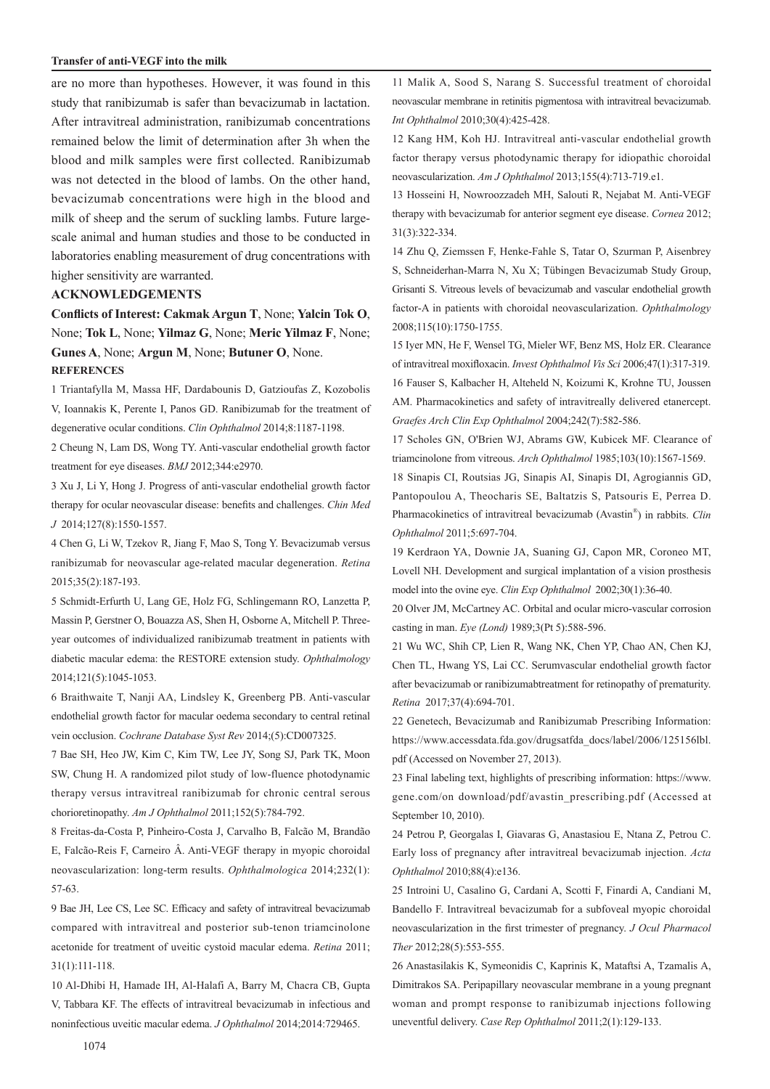#### **Transfer of anti-VEGF into the milk**

are no more than hypotheses. However, it was found in this study that ranibizumab is safer than bevacizumab in lactation. After intravitreal administration, ranibizumab concentrations remained below the limit of determination after 3h when the blood and milk samples were first collected. Ranibizumab was not detected in the blood of lambs. On the other hand, bevacizumab concentrations were high in the blood and milk of sheep and the serum of suckling lambs. Future largescale animal and human studies and those to be conducted in laboratories enabling measurement of drug concentrations with higher sensitivity are warranted.

#### **ACKNOWLEDGEMENTS**

**Conflicts of Interest: Cakmak Argun T**, None; **Yalcin Tok O**, None; **Tok L**, None; **Yilmaz G**, None; **Meric Yilmaz F**, None; **Gunes A**, None; **Argun M**, None; **Butuner O**, None. **REFERENCES**

1 Triantafylla M, Massa HF, Dardabounis D, Gatzioufas Z, Kozobolis V, Ioannakis K, Perente I, Panos GD. Ranibizumab for the treatment of degenerative ocular conditions. *Clin Ophthalmol* 2014;8:1187-1198.

2 Cheung N, Lam DS, Wong TY. Anti-vascular endothelial growth factor treatment for eye diseases. *BMJ* 2012;344:e2970.

3 Xu J, Li Y, Hong J. Progress of anti-vascular endothelial growth factor therapy for ocular neovascular disease: benefits and challenges. *Chin Med J* 2014;127(8):1550-1557.

4 Chen G, Li W, Tzekov R, Jiang F, Mao S, Tong Y. Bevacizumab versus ranibizumab for neovascular age-related macular degeneration. *Retina* 2015;35(2):187-193.

5 Schmidt-Erfurth U, Lang GE, Holz FG, Schlingemann RO, Lanzetta P, Massin P, Gerstner O, Bouazza AS, Shen H, Osborne A, Mitchell P. Threeyear outcomes of individualized ranibizumab treatment in patients with diabetic macular edema: the RESTORE extension study. *Ophthalmology* 2014;121(5):1045-1053.

6 Braithwaite T, Nanji AA, Lindsley K, Greenberg PB. Anti-vascular endothelial growth factor for macular oedema secondary to central retinal vein occlusion. *Cochrane Database Syst Rev* 2014;(5):CD007325.

7 Bae SH, Heo JW, Kim C, Kim TW, Lee JY, Song SJ, Park TK, Moon SW, Chung H. A randomized pilot study of low-fluence photodynamic therapy versus intravitreal ranibizumab for chronic central serous chorioretinopathy. *Am J Ophthalmol* 2011;152(5):784-792.

8 Freitas-da-Costa P, Pinheiro-Costa J, Carvalho B, Falcão M, Brandão E, Falcão-Reis F, Carneiro Â. Anti-VEGF therapy in myopic choroidal neovascularization: long-term results. *Ophthalmologica* 2014;232(1): 57-63.

9 Bae JH, Lee CS, Lee SC. Efficacy and safety of intravitreal bevacizumab compared with intravitreal and posterior sub-tenon triamcinolone acetonide for treatment of uveitic cystoid macular edema. *Retina* 2011; 31(1):111-118.

10 Al-Dhibi H, Hamade IH, Al-Halafi A, Barry M, Chacra CB, Gupta V, Tabbara KF. The effects of intravitreal bevacizumab in infectious and noninfectious uveitic macular edema. *J Ophthalmol* 2014;2014:729465.

11 Malik A, Sood S, Narang S. Successful treatment of choroidal neovascular membrane in retinitis pigmentosa with intravitreal bevacizumab. *Int Ophthalmol* 2010;30(4):425-428.

12 Kang HM, Koh HJ. Intravitreal anti-vascular endothelial growth factor therapy versus photodynamic therapy for idiopathic choroidal neovascularization. *Am J Ophthalmol* 2013;155(4):713-719.e1.

13 Hosseini H, Nowroozzadeh MH, Salouti R, Nejabat M. Anti-VEGF therapy with bevacizumab for anterior segment eye disease. *Cornea* 2012; 31(3):322-334.

14 Zhu Q, Ziemssen F, Henke-Fahle S, Tatar O, Szurman P, Aisenbrey S, Schneiderhan-Marra N, Xu X; Tübingen Bevacizumab Study Group, Grisanti S. Vitreous levels of bevacizumab and vascular endothelial growth factor-A in patients with choroidal neovascularization. *Ophthalmology* 2008;115(10):1750-1755.

15 Iyer MN, He F, Wensel TG, Mieler WF, Benz MS, Holz ER. Clearance of intravitreal moxifloxacin. *Invest Ophthalmol Vis Sci* 2006;47(1):317-319. 16 Fauser S, Kalbacher H, Alteheld N, Koizumi K, Krohne TU, Joussen AM. Pharmacokinetics and safety of intravitreally delivered etanercept. *Graefes Arch Clin Exp Ophthalmol* 2004;242(7):582-586.

17 Scholes GN, O'Brien WJ, Abrams GW, Kubicek MF. Clearance of triamcinolone from vitreous. *Arch Ophthalmol* 1985;103(10):1567-1569.

18 Sinapis CI, Routsias JG, Sinapis AI, Sinapis DI, Agrogiannis GD, Pantopoulou A, Theocharis SE, Baltatzis S, Patsouris E, Perrea D. Pharmacokinetics of intravitreal bevacizumab (Avastin® ) in rabbits. *Clin Ophthalmol* 2011;5:697-704.

19 Kerdraon YA, Downie JA, Suaning GJ, Capon MR, Coroneo MT, Lovell NH. Development and surgical implantation of a vision prosthesis model into the ovine eye. *Clin Exp Ophthalmol* 2002;30(1):36-40.

20 Olver JM, McCartney AC. Orbital and ocular micro-vascular corrosion casting in man. *Eye (Lond)* 1989;3(Pt 5):588-596.

21 Wu WC, Shih CP, Lien R, Wang NK, Chen YP, Chao AN, Chen KJ, Chen TL, Hwang YS, Lai CC. Serumvascular endothelial growth factor after bevacizumab or ranibizumabtreatment for retinopathy of prematurity. *Retina* 2017;37(4):694-701.

22 Genetech, Bevacizumab and Ranibizumab Prescribing Information: https://www.accessdata.fda.gov/drugsatfda\_docs/label/2006/125156lbl. pdf (Accessed on November 27, 2013).

23 Final labeling text, highlights of prescribing information: https://www. gene.com/on download/pdf/avastin\_prescribing.pdf (Accessed at September 10, 2010).

24 Petrou P, Georgalas I, Giavaras G, Anastasiou E, Ntana Z, Petrou C. Early loss of pregnancy after intravitreal bevacizumab injection. *Acta Ophthalmol* 2010;88(4):e136.

25 Introini U, Casalino G, Cardani A, Scotti F, Finardi A, Candiani M, Bandello F. Intravitreal bevacizumab for a subfoveal myopic choroidal neovascularization in the first trimester of pregnancy. *J Ocul Pharmacol Ther* 2012;28(5):553-555.

26 Anastasilakis K, Symeonidis C, Kaprinis K, Mataftsi A, Tzamalis A, Dimitrakos SA. Peripapillary neovascular membrane in a young pregnant woman and prompt response to ranibizumab injections following uneventful delivery. *Case Rep Ophthalmol* 2011;2(1):129-133.